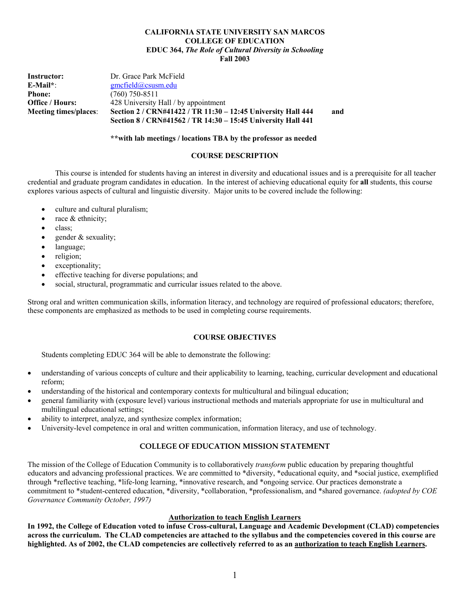#### **CALIFORNIA STATE UNIVERSITY SAN MARCOS COLLEGE OF EDUCATION EDUC 364,** *The Role of Cultural Diversity in Schooling* **Fall 2003**

| Instructor:                  | Dr. Grace Park McField                                       |     |
|------------------------------|--------------------------------------------------------------|-----|
| $E$ -Mail*:                  | gmcfield@cssusm.edu                                          |     |
| <b>Phone:</b>                | $(760)$ 750-8511                                             |     |
| Office / Hours:              | 428 University Hall / by appointment                         |     |
| <b>Meeting times/places:</b> | Section 2 / CRN#41422 / TR 11:30 - 12:45 University Hall 444 | and |
|                              | Section 8 / CRN#41562 / TR 14:30 - 15:45 University Hall 441 |     |

**\*\*with lab meetings / locations TBA by the professor as needed**

#### **COURSE DESCRIPTION**

 This course is intended for students having an interest in diversity and educational issues and is a prerequisite for all teacher credential and graduate program candidates in education. In the interest of achieving educational equity for **all** students, this course explores various aspects of cultural and linguistic diversity. Major units to be covered include the following:

- culture and cultural pluralism;
- race  $&$  ethnicity;
- class:
- gender  $&$  sexuality;
- language;
- religion;
- exceptionality;
- effective teaching for diverse populations; and
- social, structural, programmatic and curricular issues related to the above.

Strong oral and written communication skills, information literacy, and technology are required of professional educators; therefore, these components are emphasized as methods to be used in completing course requirements.

### **COURSE OBJECTIVES**

Students completing EDUC 364 will be able to demonstrate the following:

- understanding of various concepts of culture and their applicability to learning, teaching, curricular development and educational reform;
- understanding of the historical and contemporary contexts for multicultural and bilingual education;
- general familiarity with (exposure level) various instructional methods and materials appropriate for use in multicultural and multilingual educational settings;
- ability to interpret, analyze, and synthesize complex information;
- University-level competence in oral and written communication, information literacy, and use of technology.

### **COLLEGE OF EDUCATION MISSION STATEMENT**

The mission of the College of Education Community is to collaboratively *transform* public education by preparing thoughtful educators and advancing professional practices. We are committed to \*diversity, \*educational equity, and \*social justice, exemplified through \*reflective teaching, \*life-long learning, \*innovative research, and \*ongoing service. Our practices demonstrate a commitment to \*student-centered education, \*diversity, \*collaboration, \*professionalism, and \*shared governance. *(adopted by COE Governance Community October, 1997)* 

### **Authorization to teach English Learners**

**In 1992, the College of Education voted to infuse Cross-cultural, Language and Academic Development (CLAD) competencies across the curriculum. The CLAD competencies are attached to the syllabus and the competencies covered in this course are highlighted. As of 2002, the CLAD competencies are collectively referred to as an authorization to teach English Learners.**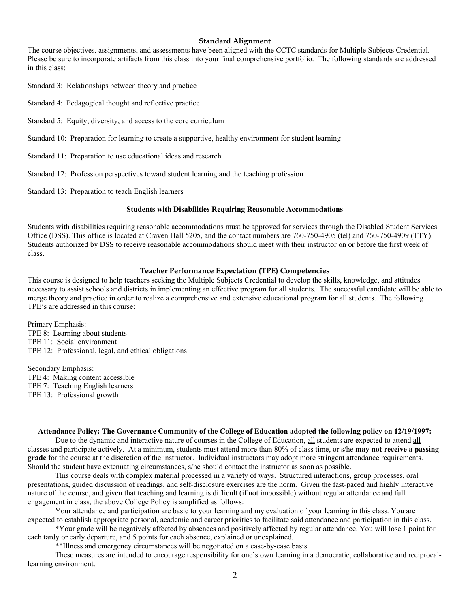### **Standard Alignment**

The course objectives, assignments, and assessments have been aligned with the CCTC standards for Multiple Subjects Credential. Please be sure to incorporate artifacts from this class into your final comprehensive portfolio. The following standards are addressed in this class:

Standard 3: Relationships between theory and practice

- Standard 4: Pedagogical thought and reflective practice
- Standard 5: Equity, diversity, and access to the core curriculum
- Standard 10: Preparation for learning to create a supportive, healthy environment for student learning
- Standard 11: Preparation to use educational ideas and research
- Standard 12: Profession perspectives toward student learning and the teaching profession
- Standard 13: Preparation to teach English learners

#### **Students with Disabilities Requiring Reasonable Accommodations**

Students with disabilities requiring reasonable accommodations must be approved for services through the Disabled Student Services Office (DSS). This office is located at Craven Hall 5205, and the contact numbers are 760-750-4905 (tel) and 760-750-4909 (TTY). Students authorized by DSS to receive reasonable accommodations should meet with their instructor on or before the first week of class.

### **Teacher Performance Expectation (TPE) Competencies**

This course is designed to help teachers seeking the Multiple Subjects Credential to develop the skills, knowledge, and attitudes necessary to assist schools and districts in implementing an effective program for all students. The successful candidate will be able to merge theory and practice in order to realize a comprehensive and extensive educational program for all students. The following TPE's are addressed in this course:

Primary Emphasis: TPE 8: Learning about students TPE 11: Social environment TPE 12: Professional, legal, and ethical obligations

Secondary Emphasis: TPE 4: Making content accessible TPE 7: Teaching English learners TPE 13: Professional growth

**Attendance Policy: The Governance Community of the College of Education adopted the following policy on 12/19/1997:**  Due to the dynamic and interactive nature of courses in the College of Education, all students are expected to attend all classes and participate actively. At a minimum, students must attend more than 80% of class time, or s/he **may not receive a passing grade** for the course at the discretion of the instructor. Individual instructors may adopt more stringent attendance requirements. Should the student have extenuating circumstances, s/he should contact the instructor as soon as possible.

 This course deals with complex material processed in a variety of ways. Structured interactions, group processes, oral presentations, guided discussion of readings, and self-disclosure exercises are the norm. Given the fast-paced and highly interactive nature of the course, and given that teaching and learning is difficult (if not impossible) without regular attendance and full engagement in class, the above College Policy is amplified as follows:

 Your attendance and participation are basic to your learning and my evaluation of your learning in this class. You are expected to establish appropriate personal, academic and career priorities to facilitate said attendance and participation in this class.

 \*Your grade will be negatively affected by absences and positively affected by regular attendance. You will lose 1 point for each tardy or early departure, and 5 points for each absence, explained or unexplained.

\*\*Illness and emergency circumstances will be negotiated on a case-by-case basis.

These measures are intended to encourage responsibility for one's own learning in a democratic, collaborative and reciprocallearning environment.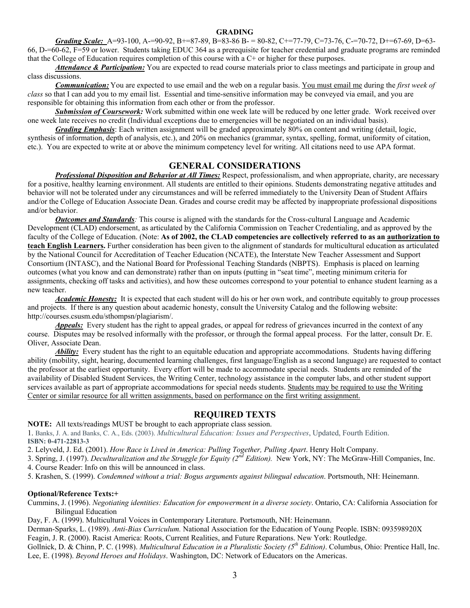#### **GRADING**

*Grading Scale:* A=93-100, A-=90-92, B+=87-89, B=83-86 B- = 80-82, C+=77-79, C=73-76, C-=70-72, D+=67-69, D=63- 66, D-=60-62, F=59 or lower. Students taking EDUC 364 as a prerequisite for teacher credential and graduate programs are reminded that the College of Education requires completion of this course with a C+ or higher for these purposes.

*Attendance & Participation:* You are expected to read course materials prior to class meetings and participate in group and class discussions.

*Communication:* You are expected to use email and the web on a regular basis. You must email me during the *first week of class* so that I can add you to my email list. Essential and time-sensitive information may be conveyed via email, and you are responsible for obtaining this information from each other or from the professor.

 *Submission of Coursework:* Work submitted within one week late will be reduced by one letter grade. Work received over one week late receives no credit (Individual exceptions due to emergencies will be negotiated on an individual basis).

*Grading Emphasis*: Each written assignment will be graded approximately 80% on content and writing (detail, logic, synthesis of information, depth of analysis, etc.), and 20% on mechanics (grammar, syntax, spelling, format, uniformity of citation, etc.). You are expected to write at or above the minimum competency level for writing. All citations need to use APA format.

### **GENERAL CONSIDERATIONS**

*Professional Disposition and Behavior at All Times:* Respect, professionalism, and when appropriate, charity, are necessary for a positive, healthy learning environment. All students are entitled to their opinions. Students demonstrating negative attitudes and behavior will not be tolerated under any circumstances and will be referred immediately to the University Dean of Student Affairs and/or the College of Education Associate Dean. Grades and course credit may be affected by inappropriate professional dispositions and/or behavior.

*Outcomes and Standards:* This course is aligned with the standards for the Cross-cultural Language and Academic Development (CLAD) endorsement, as articulated by the California Commission on Teacher Credentialing, and as approved by the faculty of the College of Education. (Note: **As of 2002, the CLAD competencies are collectively referred to as an authorization to teach English Learners.** Further consideration has been given to the alignment of standards for multicultural education as articulated by the National Council for Accreditation of Teacher Education (NCATE), the Interstate New Teacher Assessment and Support Consortium (INTASC), and the National Board for Professional Teaching Standards (NBPTS). Emphasis is placed on learning outcomes (what you know and can demonstrate) rather than on inputs (putting in "seat time", meeting minimum criteria for assignments, checking off tasks and activities), and how these outcomes correspond to your potential to enhance student learning as a new teacher.

*Academic Honesty:* It is expected that each student will do his or her own work, and contribute equitably to group processes and projects. If there is any question about academic honesty, consult the University Catalog and the following website: http://courses.csusm.edu/sthompsn/plagiarism/.

**Appeals:** Every student has the right to appeal grades, or appeal for redress of grievances incurred in the context of any course. Disputes may be resolved informally with the professor, or through the formal appeal process. For the latter, consult Dr. E. Oliver, Associate Dean.

*Ability:* Every student has the right to an equitable education and appropriate accommodations. Students having differing ability (mobility, sight, hearing, documented learning challenges, first language/English as a second language) are requested to contact the professor at the earliest opportunity. Every effort will be made to accommodate special needs. Students are reminded of the availability of Disabled Student Services, the Writing Center, technology assistance in the computer labs, and other student support services available as part of appropriate accommodations for special needs students. Students may be required to use the Writing Center or similar resource for all written assignments, based on performance on the first writing assignment.

### **REQUIRED TEXTS**

**NOTE:** All texts/readings MUST be brought to each appropriate class session.

1. Banks, J. A. and Banks, C. A., Eds. (2003). *Multicultural Education: Issues and Perspectives*, Updated, Fourth Edition. **ISBN: 0-471-22813-3**

2. Lelyveld, J. Ed. (2001). *How Race is Lived in America: Pulling Together, Pulling Apart*. Henry Holt Company.

3. Spring, J. (1997). *Deculturalization and the Struggle for Equity (2nd Edition).* New York, NY: The McGraw-Hill Companies, Inc.

4. Course Reader: Info on this will be announced in class.

5. Krashen, S. (1999). *Condemned without a trial: Bogus arguments against bilingual education*. Portsmouth, NH: Heinemann.

#### **Optional/Reference Texts:+**

Cummins, J. (1996). *Negotiating identities: Education for empowerment in a diverse society*. Ontario, CA: California Association for Bilingual Education

Day, F. A. (1999). Multicultural Voices in Contemporary Literature. Portsmouth, NH: Heinemann.

Derman-Sparks, L. (1989). *Anti-Bias Curriculum.* National Association for the Education of Young People. ISBN: 093598920X

Feagin, J. R. (2000). Racist America: Roots, Current Realities, and Future Reparations. New York: Routledge.

Gollnick, D. & Chinn, P. C. (1998). *Multicultural Education in a Pluralistic Society (5th Edition)*. Columbus, Ohio: Prentice Hall, Inc. Lee, E. (1998). *Beyond Heroes and Holidays*. Washington, DC: Network of Educators on the Americas.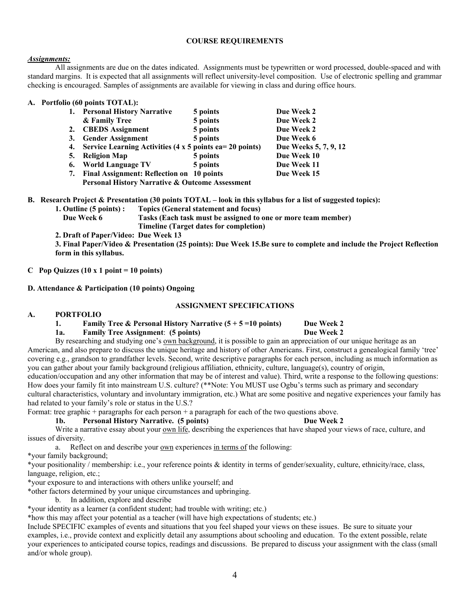#### **COURSE REQUIREMENTS**

### *Assignments:*

 All assignments are due on the dates indicated. Assignments must be typewritten or word processed, double-spaced and with standard margins. It is expected that all assignments will reflect university-level composition. Use of electronic spelling and grammar checking is encouraged. Samples of assignments are available for viewing in class and during office hours.

### **A. Portfolio (60 points TOTAL):**

| 1. | <b>Personal History Narrative</b>                          | 5 points | Due Week 2            |
|----|------------------------------------------------------------|----------|-----------------------|
|    | & Family Tree                                              | 5 points | Due Week 2            |
| 2. | <b>CBEDS</b> Assignment                                    | 5 points | Due Week 2            |
| 3. | <b>Gender Assignment</b>                                   | 5 points | Due Week 6            |
| 4. | Service Learning Activities (4 $x$ 5 points ea= 20 points) |          | Due Weeks 5, 7, 9, 12 |
| 5. | <b>Religion Map</b>                                        | 5 points | Due Week 10           |
| 6. | <b>World Language TV</b>                                   | 5 points | Due Week 11           |
| 7. | Final Assignment: Reflection on 10 points                  |          | Due Week 15           |
|    | Personal History Narrative & Outcome Assessment            |          |                       |

**B. Research Project & Presentation (30 points TOTAL – look in this syllabus for a list of suggested topics):** 

**1. Outline (5 points) : Topics (General statement and focus)** 

 **Due Week 6 Tasks (Each task must be assigned to one or more team member) Timeline (Target dates for completion)** 

**2. Draft of Paper/Video: Due Week 13** 

**3. Final Paper/Video & Presentation (25 points): Due Week 15.Be sure to complete and include the Project Reflection form in this syllabus.** 

**C** Pop Quizzes  $(10 \times 1 \text{ point} = 10 \text{ points})$ 

**D. Attendance & Participation (10 points) Ongoing** 

### **ASSIGNMENT SPECIFICATIONS**

### **A. PORTFOLIO**

### **1.** Family Tree & Personal History Narrative  $(5 + 5 = 10 \text{ points})$  Due Week 2

### **1a. Family Tree Assignment**: **(5 points) Due Week 2**

By researching and studying one's own background, it is possible to gain an appreciation of our unique heritage as an American, and also prepare to discuss the unique heritage and history of other Americans. First, construct a genealogical family 'tree' covering e.g., grandson to grandfather levels. Second, write descriptive paragraphs for each person, including as much information as you can gather about your family background (religious affiliation, ethnicity, culture, language(s), country of origin, education/occupation and any other information that may be of interest and value). Third, write a response to the following questions:

How does your family fit into mainstream U.S. culture? (\*\*Note: You MUST use Ogbu's terms such as primary and secondary cultural characteristics, voluntary and involuntary immigration, etc.) What are some positive and negative experiences your family has had related to your family's role or status in the U.S.?

Format: tree graphic + paragraphs for each person + a paragraph for each of the two questions above.

### **1b. Personal History Narrative. (5 points) Due Week 2**

Write a narrative essay about your own life, describing the experiences that have shaped your views of race, culture, and issues of diversity.

a. Reflect on and describe your <u>own</u> experiences in terms of the following:

\*your family background;

\*your positionality / membership: i.e., your reference points & identity in terms of gender/sexuality, culture, ethnicity/race, class, language, religion, etc.;

\*your exposure to and interactions with others unlike yourself; and

\*other factors determined by your unique circumstances and upbringing.

b. In addition, explore and describe

\*your identity as a learner (a confident student; had trouble with writing; etc.)

\*how this may affect your potential as a teacher (will have high expectations of students; etc.)

Include SPECIFIC examples of events and situations that you feel shaped your views on these issues. Be sure to situate your examples, i.e., provide context and explicitly detail any assumptions about schooling and education. To the extent possible, relate your experiences to anticipated course topics, readings and discussions. Be prepared to discuss your assignment with the class (small and/or whole group).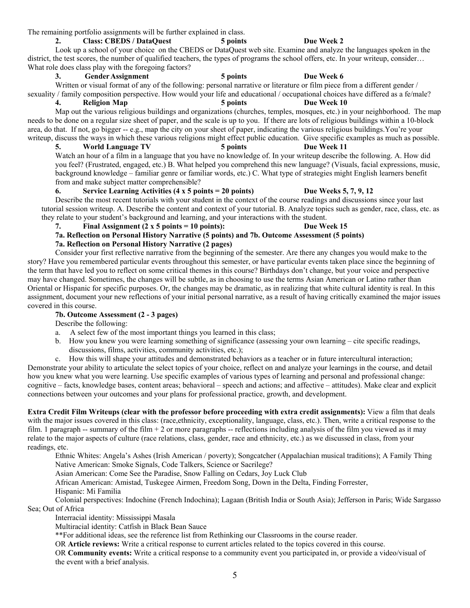The remaining portfolio assignments will be further explained in class.

# **2. Class: CBEDS / DataQuest 5 points Due Week 2**

Look up a school of your choice on the CBEDS or DataQuest web site. Examine and analyze the languages spoken in the district, the test scores, the number of qualified teachers, the types of programs the school offers, etc. In your writeup, consider… What role does class play with the foregoing factors?

### **3. Gender Assignment 5 points Due Week 6**

Written or visual format of any of the following: personal narrative or literature or film piece from a different gender / sexuality / family composition perspective. How would your life and educational / occupational choices have differed as a fe/male?

**4. Religion Map 5 points Due Week 10** 

Map out the various religious buildings and organizations (churches, temples, mosques, etc.) in your neighborhood. The map needs to be done on a regular size sheet of paper, and the scale is up to you. If there are lots of religious buildings within a 10-block area, do that. If not, go bigger -- e.g., map the city on your sheet of paper, indicating the various religious buildings.You're your writeup, discuss the ways in which these various religions might effect public education. Give specific examples as much as possible.

**5. World Language TV 5 points Due Week 11**  Watch an hour of a film in a language that you have no knowledge of. In your writeup describe the following. A. How did

you feel? (Frustrated, engaged, etc.) B. What helped you comprehend this new language? (Visuals, facial expressions, music, background knowledge – familiar genre or familiar words, etc.) C. What type of strategies might English learners benefit from and make subject matter comprehensible?

### **6. Service Learning Activities (4 x 5 points = 20 points) Due Weeks 5, 7, 9, 12**

Describe the most recent tutorials with your student in the context of the course readings and discussions since your last tutorial session writeup. A. Describe the content and context of your tutorial. B. Analyze topics such as gender, race, class, etc. as they relate to your student's background and learning, and your interactions with the student.

### **7. Final Assignment (2 x 5 points = 10 points): Due Week 15**

### **7a. Reflection on Personal History Narrative (5 points) and 7b. Outcome Assessment (5 points) 7a. Reflection on Personal History Narrative (2 pages)**

 Consider your first reflective narrative from the beginning of the semester. Are there any changes you would make to the story? Have you remembered particular events throughout this semester, or have particular events taken place since the beginning of the term that have led you to reflect on some critical themes in this course? Birthdays don't change, but your voice and perspective may have changed. Sometimes, the changes will be subtle, as in choosing to use the terms Asian American or Latino rather than Oriental or Hispanic for specific purposes. Or, the changes may be dramatic, as in realizing that white cultural identity is real. In this assignment, document your new reflections of your initial personal narrative, as a result of having critically examined the major issues covered in this course.

## **7b. Outcome Assessment (2 - 3 pages)**

Describe the following:

- a. A select few of the most important things you learned in this class;
- b. How you knew you were learning something of significance (assessing your own learning cite specific readings, discussions, films, activities, community activities, etc.);

c. How this will shape your attitudes and demonstrated behaviors as a teacher or in future intercultural interaction; Demonstrate your ability to articulate the select topics of your choice, reflect on and analyze your learnings in the course, and detail how you knew what you were learning. Use specific examples of various types of learning and personal and professional change: cognitive – facts, knowledge bases, content areas; behavioral – speech and actions; and affective – attitudes). Make clear and explicit connections between your outcomes and your plans for professional practice, growth, and development.

**Extra Credit Film Writeups (clear with the professor before proceeding with extra credit assignments):** View a film that deals with the major issues covered in this class: (race,ethnicity, exceptionality, language, class, etc.). Then, write a critical response to the film. 1 paragraph -- summary of the film  $+2$  or more paragraphs -- reflections including analysis of the film you viewed as it may relate to the major aspects of culture (race relations, class, gender, race and ethnicity, etc.) as we discussed in class, from your readings, etc.

 Ethnic Whites: Angela's Ashes (Irish American / poverty); Songcatcher (Appalachian musical traditions); A Family Thing Native American: Smoke Signals, Code Talkers, Science or Sacrilege?

Asian American: Come See the Paradise, Snow Falling on Cedars, Joy Luck Club

African American: Amistad, Tuskegee Airmen, Freedom Song, Down in the Delta, Finding Forrester,

Hispanic: Mi Familia

 Colonial perspectives: Indochine (French Indochina); Lagaan (British India or South Asia); Jefferson in Paris; Wide Sargasso Sea; Out of Africa

Interracial identity: Mississippi Masala

Multiracial identity: Catfish in Black Bean Sauce

\*\*For additional ideas, see the reference list from Rethinking our Classrooms in the course reader.

OR **Article reviews:** Write a critical response to current articles related to the topics covered in this course.

 OR **Community events:** Write a critical response to a community event you participated in, or provide a video/visual of the event with a brief analysis.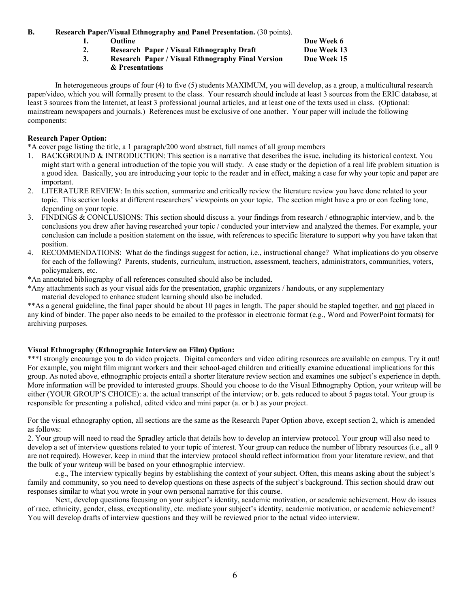**B. Research Paper/Visual Ethnography and Panel Presentation.** (30 points).

- **1.** Outline Due Week 6
- 2. Research Paper / Visual Ethnography Draft Due Week 13
- **3. Research Paper / Visual Ethnography Final Version Due Week 15 & Presentations**

 In heterogeneous groups of four (4) to five (5) students MAXIMUM, you will develop, as a group, a multicultural research paper/video, which you will formally present to the class. Your research should include at least 3 sources from the ERIC database, at least 3 sources from the Internet, at least 3 professional journal articles, and at least one of the texts used in class. (Optional: mainstream newspapers and journals.) References must be exclusive of one another. Your paper will include the following components:

### **Research Paper Option:**

\*A cover page listing the title, a 1 paragraph/200 word abstract, full names of all group members

- 1. BACKGROUND & INTRODUCTION: This section is a narrative that describes the issue, including its historical context. You might start with a general introduction of the topic you will study. A case study or the depiction of a real life problem situation is a good idea. Basically, you are introducing your topic to the reader and in effect, making a case for why your topic and paper are important.
- 2. LITERATURE REVIEW: In this section, summarize and critically review the literature review you have done related to your topic. This section looks at different researchers' viewpoints on your topic. The section might have a pro or con feeling tone, depending on your topic.
- 3. FINDINGS & CONCLUSIONS: This section should discuss a. your findings from research / ethnographic interview, and b. the conclusions you drew after having researched your topic / conducted your interview and analyzed the themes. For example, your conclusion can include a position statement on the issue, with references to specific literature to support why you have taken that position.
- 4. RECOMMENDATIONS: What do the findings suggest for action, i.e., instructional change? What implications do you observe for each of the following? Parents, students, curriculum, instruction, assessment, teachers, administrators, communities, voters, policymakers, etc.
- \*An annotated bibliography of all references consulted should also be included.
- \*Any attachments such as your visual aids for the presentation, graphic organizers / handouts, or any supplementary material developed to enhance student learning should also be included.

\*\*As a general guideline, the final paper should be about 10 pages in length. The paper should be stapled together, and not placed in any kind of binder. The paper also needs to be emailed to the professor in electronic format (e.g., Word and PowerPoint formats) for archiving purposes.

### **Visual Ethnography (Ethnographic Interview on Film) Option:**

\*\*\*I strongly encourage you to do video projects. Digital camcorders and video editing resources are available on campus. Try it out! For example, you might film migrant workers and their school-aged children and critically examine educational implications for this group. As noted above, ethnographic projects entail a shorter literature review section and examines one subject's experience in depth. More information will be provided to interested groups. Should you choose to do the Visual Ethnography Option, your writeup will be either (YOUR GROUP'S CHOICE): a. the actual transcript of the interview; or b. gets reduced to about 5 pages total. Your group is responsible for presenting a polished, edited video and mini paper (a. or b.) as your project.

For the visual ethnography option, all sections are the same as the Research Paper Option above, except section 2, which is amended as follows:

2. Your group will need to read the Spradley article that details how to develop an interview protocol. Your group will also need to develop a set of interview questions related to your topic of interest. Your group can reduce the number of library resources (i.e., all 9 are not required). However, keep in mind that the interview protocol should reflect information from your literature review, and that the bulk of your writeup will be based on your ethnographic interview.

 e.g., The interview typically begins by establishing the context of your subject. Often, this means asking about the subject's family and community, so you need to develop questions on these aspects of the subject's background. This section should draw out responses similar to what you wrote in your own personal narrative for this course.

 Next, develop questions focusing on your subject's identity, academic motivation, or academic achievement. How do issues of race, ethnicity, gender, class, exceptionality, etc. mediate your subject's identity, academic motivation, or academic achievement? You will develop drafts of interview questions and they will be reviewed prior to the actual video interview.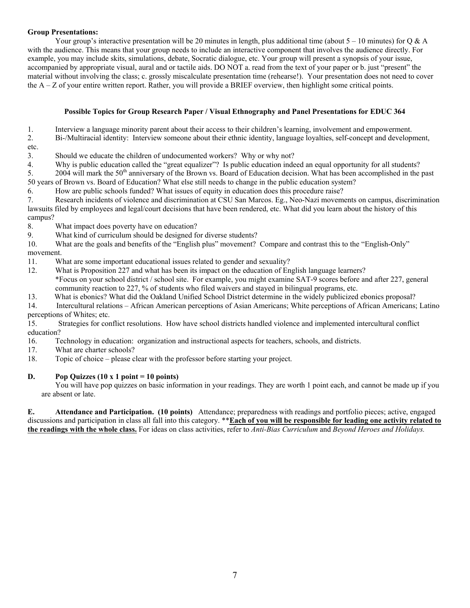### **Group Presentations:**

Your group's interactive presentation will be 20 minutes in length, plus additional time (about  $5 - 10$  minutes) for Q & A with the audience. This means that your group needs to include an interactive component that involves the audience directly. For example, you may include skits, simulations, debate, Socratic dialogue, etc. Your group will present a synopsis of your issue, accompanied by appropriate visual, aural and or tactile aids. DO NOT a. read from the text of your paper or b. just "present" the material without involving the class; c. grossly miscalculate presentation time (rehearse!). Your presentation does not need to cover the  $A - Z$  of your entire written report. Rather, you will provide a BRIEF overview, then highlight some critical points.

### **Possible Topics for Group Research Paper / Visual Ethnography and Panel Presentations for EDUC 364**

1. Interview a language minority parent about their access to their children's learning, involvement and empowerment.

- 2. Bi-/Multiracial identity: Interview someone about their ethnic identity, language loyalties, self-concept and development,
- etc.

3. Should we educate the children of undocumented workers? Why or why not?

4. Why is public education called the "great equalizer"? Is public education indeed an equal opportunity for all students?

5. 2004 will mark the 50<sup>th</sup> anniversary of the Brown vs. Board of Education decision. What has been accomplished in the past 50 years of Brown vs. Board of Education? What else still needs to change in the public education system?

6. How are public schools funded? What issues of equity in education does this procedure raise?

7. Research incidents of violence and discrimination at CSU San Marcos. Eg., Neo-Nazi movements on campus, discrimination lawsuits filed by employees and legal/court decisions that have been rendered, etc. What did you learn about the history of this campus?

8. What impact does poverty have on education?

9. What kind of curriculum should be designed for diverse students?

10. What are the goals and benefits of the "English plus" movement? Compare and contrast this to the "English-Only" movement.

11. What are some important educational issues related to gender and sexuality?

- 12. What is Proposition 227 and what has been its impact on the education of English language learners? \*Focus on your school district / school site. For example, you might examine SAT-9 scores before and after 227, general community reaction to 227, % of students who filed waivers and stayed in bilingual programs, etc.
- 13. What is ebonics? What did the Oakland Unified School District determine in the widely publicized ebonics proposal?

14. Intercultural relations – African American perceptions of Asian Americans; White perceptions of African Americans; Latino perceptions of Whites; etc.

15. Strategies for conflict resolutions. How have school districts handled violence and implemented intercultural conflict education?

16. Technology in education: organization and instructional aspects for teachers, schools, and districts.

17. What are charter schools?

18. Topic of choice – please clear with the professor before starting your project.

### **D. Pop Quizzes (10 x 1 point = 10 points)**

You will have pop quizzes on basic information in your readings. They are worth 1 point each, and cannot be made up if you are absent or late.

**E. Attendance and Participation. (10 points)** Attendance; preparedness with readings and portfolio pieces; active, engaged discussions and participation in class all fall into this category. \*\***Each of you will be responsible for leading one activity related to the readings with the whole class.** For ideas on class activities, refer to *Anti-Bias Curriculum* and *Beyond Heroes and Holidays.*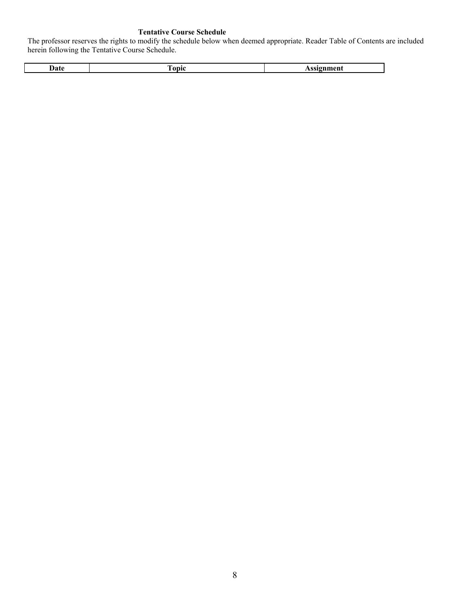## **Tentative Course Schedule**

The professor reserves the rights to modify the schedule below when deemed appropriate. Reader Table of Contents are included herein following the Tentative Course Schedule.

| l tafo | --    | $\sim$ - 22 $\sim$ 22 $+$ |
|--------|-------|---------------------------|
|        | `onic | ,,,,,,,<br>.<br>__        |
|        |       |                           |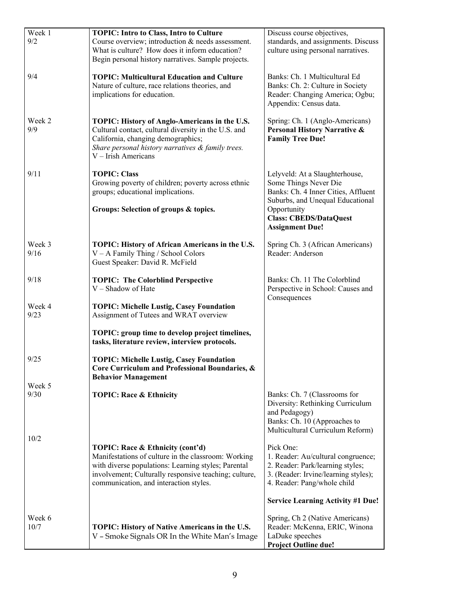| Week 1<br>9/2  | <b>TOPIC: Intro to Class, Intro to Culture</b><br>Course overview; introduction & needs assessment.<br>What is culture? How does it inform education?<br>Begin personal history narratives. Sample projects.                                      | Discuss course objectives,<br>standards, and assignments. Discuss<br>culture using personal narratives.                                                    |
|----------------|---------------------------------------------------------------------------------------------------------------------------------------------------------------------------------------------------------------------------------------------------|------------------------------------------------------------------------------------------------------------------------------------------------------------|
| 9/4            | <b>TOPIC: Multicultural Education and Culture</b><br>Nature of culture, race relations theories, and<br>implications for education.                                                                                                               | Banks: Ch. 1 Multicultural Ed<br>Banks: Ch. 2: Culture in Society<br>Reader: Changing America; Ogbu;<br>Appendix: Census data.                             |
| Week 2<br>9/9  | TOPIC: History of Anglo-Americans in the U.S.<br>Cultural contact, cultural diversity in the U.S. and<br>California, changing demographics;<br>Share personal history narratives & family trees.<br>V - Irish Americans                           | Spring: Ch. 1 (Anglo-Americans)<br>Personal History Narrative &<br><b>Family Tree Due!</b>                                                                 |
| 9/11           | <b>TOPIC: Class</b><br>Growing poverty of children; poverty across ethnic<br>groups; educational implications.                                                                                                                                    | Lelyveld: At a Slaughterhouse,<br>Some Things Never Die<br>Banks: Ch. 4 Inner Cities, Affluent<br>Suburbs, and Unequal Educational                         |
|                | Groups: Selection of groups & topics.                                                                                                                                                                                                             | Opportunity<br><b>Class: CBEDS/DataQuest</b><br><b>Assignment Due!</b>                                                                                     |
| Week 3<br>9/16 | TOPIC: History of African Americans in the U.S.<br>$V - A$ Family Thing / School Colors<br>Guest Speaker: David R. McField                                                                                                                        | Spring Ch. 3 (African Americans)<br>Reader: Anderson                                                                                                       |
| 9/18           | <b>TOPIC: The Colorblind Perspective</b><br>V - Shadow of Hate                                                                                                                                                                                    | Banks: Ch. 11 The Colorblind<br>Perspective in School: Causes and<br>Consequences                                                                          |
| Week 4<br>9/23 | <b>TOPIC: Michelle Lustig, Casey Foundation</b><br>Assignment of Tutees and WRAT overview                                                                                                                                                         |                                                                                                                                                            |
|                | TOPIC: group time to develop project timelines,<br>tasks, literature review, interview protocols.                                                                                                                                                 |                                                                                                                                                            |
| 9/25           | <b>TOPIC: Michelle Lustig, Casey Foundation</b><br>Core Curriculum and Professional Boundaries, &<br><b>Behavior Management</b>                                                                                                                   |                                                                                                                                                            |
| Week 5<br>9/30 | <b>TOPIC: Race &amp; Ethnicity</b>                                                                                                                                                                                                                | Banks: Ch. 7 (Classrooms for<br>Diversity: Rethinking Curriculum<br>and Pedagogy)<br>Banks: Ch. 10 (Approaches to<br>Multicultural Curriculum Reform)      |
| 10/2           | TOPIC: Race & Ethnicity (cont'd)<br>Manifestations of culture in the classroom: Working<br>with diverse populations: Learning styles; Parental<br>involvement; Culturally responsive teaching; culture,<br>communication, and interaction styles. | Pick One:<br>1. Reader: Au/cultural congruence;<br>2. Reader: Park/learning styles;<br>3. (Reader: Irvine/learning styles);<br>4. Reader: Pang/whole child |
|                |                                                                                                                                                                                                                                                   | <b>Service Learning Activity #1 Due!</b>                                                                                                                   |
| Week 6<br>10/7 | TOPIC: History of Native Americans in the U.S.<br>V - Smoke Signals OR In the White Man's Image                                                                                                                                                   | Spring, Ch 2 (Native Americans)<br>Reader: McKenna, ERIC, Winona<br>LaDuke speeches<br><b>Project Outline due!</b>                                         |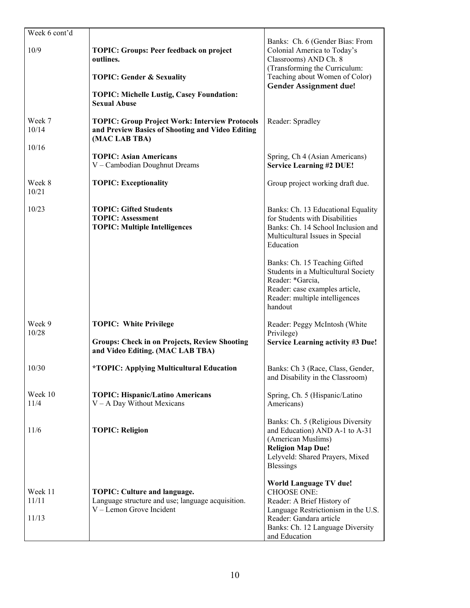| Week 6 cont'd             |                                                                                                                            |                                                                                                                                                                                                          |
|---------------------------|----------------------------------------------------------------------------------------------------------------------------|----------------------------------------------------------------------------------------------------------------------------------------------------------------------------------------------------------|
| 10/9                      | <b>TOPIC: Groups: Peer feedback on project</b><br>outlines.                                                                | Banks: Ch. 6 (Gender Bias: From<br>Colonial America to Today's<br>Classrooms) AND Ch. 8<br>(Transforming the Curriculum:                                                                                 |
|                           | <b>TOPIC: Gender &amp; Sexuality</b>                                                                                       | Teaching about Women of Color)<br><b>Gender Assignment due!</b>                                                                                                                                          |
|                           | <b>TOPIC: Michelle Lustig, Casey Foundation:</b><br><b>Sexual Abuse</b>                                                    |                                                                                                                                                                                                          |
| Week 7<br>10/14           | <b>TOPIC: Group Project Work: Interview Protocols</b><br>and Preview Basics of Shooting and Video Editing<br>(MAC LAB TBA) | Reader: Spradley                                                                                                                                                                                         |
| 10/16                     | <b>TOPIC: Asian Americans</b><br>V - Cambodian Doughnut Dreams                                                             | Spring, Ch 4 (Asian Americans)<br><b>Service Learning #2 DUE!</b>                                                                                                                                        |
| Week 8<br>10/21           | <b>TOPIC: Exceptionality</b>                                                                                               | Group project working draft due.                                                                                                                                                                         |
| 10/23                     | <b>TOPIC: Gifted Students</b><br><b>TOPIC: Assessment</b><br><b>TOPIC: Multiple Intelligences</b>                          | Banks: Ch. 13 Educational Equality<br>for Students with Disabilities<br>Banks: Ch. 14 School Inclusion and<br>Multicultural Issues in Special<br>Education                                               |
|                           |                                                                                                                            | Banks: Ch. 15 Teaching Gifted<br>Students in a Multicultural Society<br>Reader: *Garcia,<br>Reader: case examples article,<br>Reader: multiple intelligences<br>handout                                  |
| Week 9<br>10/28           | <b>TOPIC: White Privilege</b>                                                                                              | Reader: Peggy McIntosh (White<br>Privilege)                                                                                                                                                              |
|                           | <b>Groups: Check in on Projects, Review Shooting</b><br>and Video Editing. (MAC LAB TBA)                                   | <b>Service Learning activity #3 Due!</b>                                                                                                                                                                 |
| 10/30                     | <i><b>*TOPIC: Applying Multicultural Education</b></i>                                                                     | Banks: Ch 3 (Race, Class, Gender,<br>and Disability in the Classroom)                                                                                                                                    |
| Week 10<br>11/4           | <b>TOPIC: Hispanic/Latino Americans</b><br>$V - A$ Day Without Mexicans                                                    | Spring, Ch. 5 (Hispanic/Latino<br>Americans)                                                                                                                                                             |
| 11/6                      | <b>TOPIC: Religion</b>                                                                                                     | Banks: Ch. 5 (Religious Diversity<br>and Education) AND A-1 to A-31<br>(American Muslims)<br><b>Religion Map Due!</b><br>Lelyveld: Shared Prayers, Mixed<br><b>Blessings</b>                             |
| Week 11<br>11/11<br>11/13 | <b>TOPIC: Culture and language.</b><br>Language structure and use; language acquisition.<br>V - Lemon Grove Incident       | <b>World Language TV due!</b><br><b>CHOOSE ONE:</b><br>Reader: A Brief History of<br>Language Restrictionism in the U.S.<br>Reader: Gandara article<br>Banks: Ch. 12 Language Diversity<br>and Education |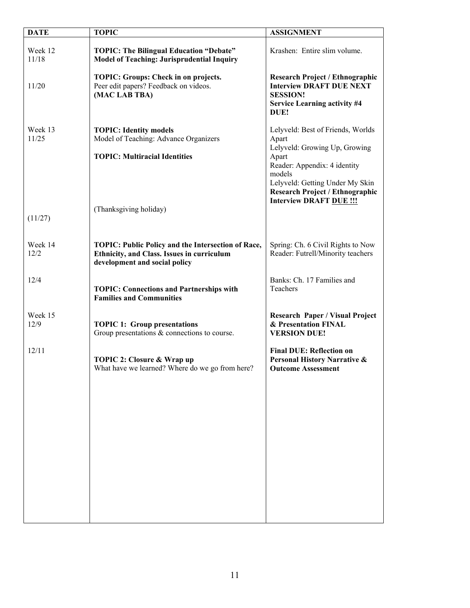| <b>DATE</b>      | <b>TOPIC</b>                                                                                                                      | <b>ASSIGNMENT</b>                                                                                                                                                 |
|------------------|-----------------------------------------------------------------------------------------------------------------------------------|-------------------------------------------------------------------------------------------------------------------------------------------------------------------|
|                  |                                                                                                                                   |                                                                                                                                                                   |
| Week 12<br>11/18 | <b>TOPIC: The Bilingual Education "Debate"</b><br><b>Model of Teaching: Jurisprudential Inquiry</b>                               | Krashen: Entire slim volume.                                                                                                                                      |
| 11/20            | TOPIC: Groups: Check in on projects.<br>Peer edit papers? Feedback on videos.<br>(MAC LAB TBA)                                    | <b>Research Project / Ethnographic</b><br><b>Interview DRAFT DUE NEXT</b><br><b>SESSION!</b><br><b>Service Learning activity #4</b><br>DUE!                       |
| Week 13<br>11/25 | <b>TOPIC: Identity models</b><br>Model of Teaching: Advance Organizers<br><b>TOPIC: Multiracial Identities</b>                    | Lelyveld: Best of Friends, Worlds<br>Apart<br>Lelyveld: Growing Up, Growing<br>Apart<br>Reader: Appendix: 4 identity<br>models<br>Lelyveld: Getting Under My Skin |
| (11/27)          | (Thanksgiving holiday)                                                                                                            | <b>Research Project / Ethnographic</b><br><b>Interview DRAFT DUE !!!</b>                                                                                          |
| Week 14<br>12/2  | TOPIC: Public Policy and the Intersection of Race,<br>Ethnicity, and Class. Issues in curriculum<br>development and social policy | Spring: Ch. 6 Civil Rights to Now<br>Reader: Futrell/Minority teachers                                                                                            |
| 12/4             | <b>TOPIC: Connections and Partnerships with</b><br><b>Families and Communities</b>                                                | Banks: Ch. 17 Families and<br>Teachers                                                                                                                            |
| Week 15<br>12/9  | <b>TOPIC 1: Group presentations</b><br>Group presentations $\&$ connections to course.                                            | <b>Research Paper / Visual Project</b><br>& Presentation FINAL<br><b>VERSION DUE!</b>                                                                             |
| 12/11            | TOPIC 2: Closure & Wrap up<br>What have we learned? Where do we go from here?                                                     | <b>Final DUE: Reflection on</b><br>Personal History Narrative &<br><b>Outcome Assessment</b>                                                                      |
|                  |                                                                                                                                   |                                                                                                                                                                   |
|                  |                                                                                                                                   |                                                                                                                                                                   |
|                  |                                                                                                                                   |                                                                                                                                                                   |
|                  |                                                                                                                                   |                                                                                                                                                                   |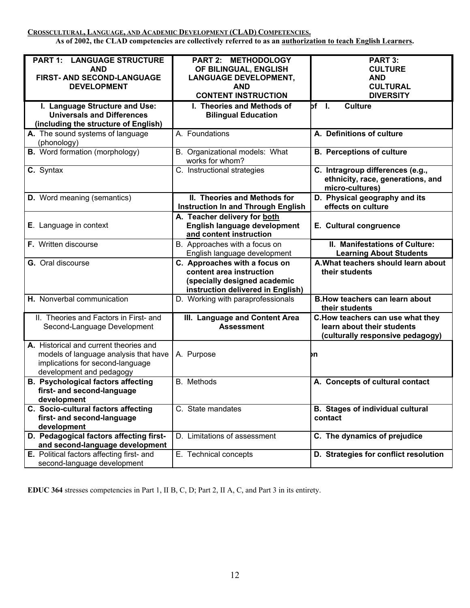**CROSSCULTURAL, LANGUAGE, AND ACADEMIC DEVELOPMENT (CLAD) COMPETENCIES.**

**As of 2002, the CLAD competencies are collectively referred to as an authorization to teach English Learners.**

| <b>PART 1: LANGUAGE STRUCTURE</b>                                        | PART 2: METHODOLOGY                       | PART 3:                                 |
|--------------------------------------------------------------------------|-------------------------------------------|-----------------------------------------|
| <b>AND</b>                                                               | OF BILINGUAL, ENGLISH                     | <b>CULTURE</b>                          |
| FIRST- AND SECOND-LANGUAGE                                               | <b>LANGUAGE DEVELOPMENT,</b>              | <b>AND</b>                              |
| <b>DEVELOPMENT</b>                                                       | <b>AND</b>                                | <b>CULTURAL</b>                         |
|                                                                          | <b>CONTENT INSTRUCTION</b>                |                                         |
|                                                                          |                                           | <b>DIVERSITY</b>                        |
| I. Language Structure and Use:                                           | I. Theories and Methods of                | bf I.<br><b>Culture</b>                 |
| <b>Universals and Differences</b>                                        | <b>Bilingual Education</b>                |                                         |
| (including the structure of English)                                     |                                           |                                         |
| A. The sound systems of language                                         | A. Foundations                            | A. Definitions of culture               |
|                                                                          |                                           |                                         |
| (phonology)                                                              |                                           |                                         |
| <b>B.</b> Word formation (morphology)                                    | B. Organizational models: What            | <b>B.</b> Perceptions of culture        |
|                                                                          | works for whom?                           |                                         |
| C. Syntax                                                                | C. Instructional strategies               | C. Intragroup differences (e.g.,        |
|                                                                          |                                           | ethnicity, race, generations, and       |
|                                                                          |                                           | micro-cultures)                         |
|                                                                          |                                           |                                         |
| <b>D.</b> Word meaning (semantics)                                       | II. Theories and Methods for              | D. Physical geography and its           |
|                                                                          | <b>Instruction In and Through English</b> | effects on culture                      |
|                                                                          | A. Teacher delivery for both              |                                         |
| E. Language in context                                                   | English language development              | E. Cultural congruence                  |
|                                                                          | and content instruction                   |                                         |
|                                                                          |                                           |                                         |
| F. Written discourse                                                     | B. Approaches with a focus on             | II. Manifestations of Culture:          |
|                                                                          | English language development              | <b>Learning About Students</b>          |
| G. Oral discourse                                                        | C. Approaches with a focus on             | A. What teachers should learn about     |
|                                                                          |                                           |                                         |
|                                                                          | content area instruction                  |                                         |
|                                                                          |                                           | their students                          |
|                                                                          | (specially designed academic              |                                         |
|                                                                          | instruction delivered in English)         |                                         |
| H. Nonverbal communication                                               | D. Working with paraprofessionals         | <b>B.How teachers can learn about</b>   |
|                                                                          |                                           | their students                          |
| II. Theories and Factors in First- and                                   |                                           | C. How teachers can use what they       |
|                                                                          | III. Language and Content Area            | learn about their students              |
| Second-Language Development                                              | <b>Assessment</b>                         |                                         |
|                                                                          |                                           | (culturally responsive pedagogy)        |
| A. Historical and current theories and                                   |                                           |                                         |
| models of language analysis that have                                    | A. Purpose                                | þη                                      |
| implications for second-language                                         |                                           |                                         |
| development and pedagogy                                                 |                                           |                                         |
|                                                                          |                                           |                                         |
| <b>B. Psychological factors affecting</b>                                | <b>B.</b> Methods                         | A. Concepts of cultural contact         |
| first- and second-language                                               |                                           |                                         |
| development                                                              |                                           |                                         |
| C. Socio-cultural factors affecting                                      | C. State mandates                         | <b>B.</b> Stages of individual cultural |
| first- and second-language                                               |                                           | contact                                 |
| development                                                              |                                           |                                         |
| D. Pedagogical factors affecting first-                                  | D. Limitations of assessment              | C. The dynamics of prejudice            |
|                                                                          |                                           |                                         |
| and second-language development                                          |                                           |                                         |
| E. Political factors affecting first- and<br>second-language development | E. Technical concepts                     | D. Strategies for conflict resolution   |

**EDUC 364** stresses competencies in Part 1, II B, C, D; Part 2, II A, C, and Part 3 in its entirety.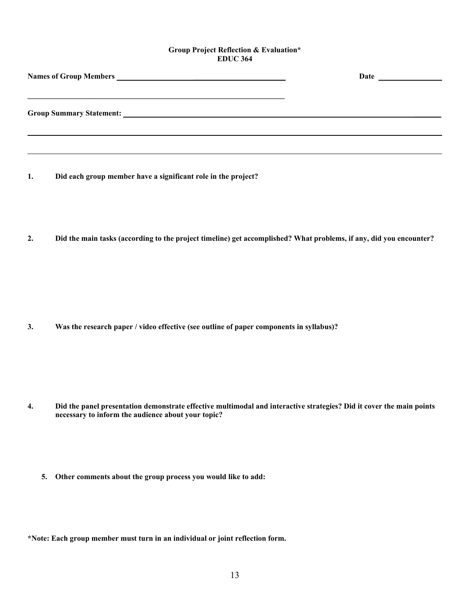#### **Group Project Reflection & Evaluation\* EDUC 364**

| Date |
|------|
|      |
|      |
|      |
|      |
|      |

- **1. Did each group member have a significant role in the project?**
- **2. Did the main tasks (according to the project timeline) get accomplished? What problems, if any, did you encounter?**

**3. Was the research paper / video effective (see outline of paper components in syllabus)?** 

- **4. Did the panel presentation demonstrate effective multimodal and interactive strategies? Did it cover the main points necessary to inform the audience about your topic?** 
	- **5. Other comments about the group process you would like to add:**

**\*Note: Each group member must turn in an individual or joint reflection form.**